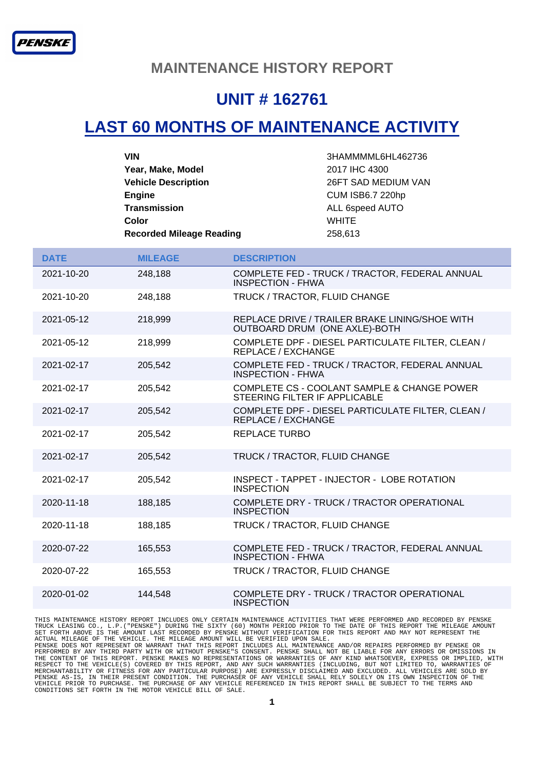#### **MAINTENANCE HISTORY REPORT**

## **UNIT # 162761**

# **LAST 60 MONTHS OF MAINTENANCE ACTIVITY**

| <b>VIN</b>                      | 3HAMMMML6HL462736       |
|---------------------------------|-------------------------|
| Year, Make, Model               | 2017 IHC 4300           |
| <b>Vehicle Description</b>      | 26FT SAD MEDIUM VAN     |
| <b>Engine</b>                   | <b>CUM ISB6.7 220hp</b> |
| <b>Transmission</b>             | ALL 6speed AUTO         |
| Color                           | <b>WHITE</b>            |
| <b>Recorded Mileage Reading</b> | 258.613                 |

| <b>DATE</b> | <b>MILEAGE</b> | <b>DESCRIPTION</b>                                                              |
|-------------|----------------|---------------------------------------------------------------------------------|
| 2021-10-20  | 248,188        | COMPLETE FED - TRUCK / TRACTOR, FEDERAL ANNUAL<br><b>INSPECTION - FHWA</b>      |
| 2021-10-20  | 248,188        | TRUCK / TRACTOR, FLUID CHANGE                                                   |
| 2021-05-12  | 218,999        | REPLACE DRIVE / TRAILER BRAKE LINING/SHOE WITH<br>OUTBOARD DRUM (ONE AXLE)-BOTH |
| 2021-05-12  | 218,999        | COMPLETE DPF - DIESEL PARTICULATE FILTER, CLEAN /<br><b>REPLACE / EXCHANGE</b>  |
| 2021-02-17  | 205,542        | COMPLETE FED - TRUCK / TRACTOR, FEDERAL ANNUAL<br><b>INSPECTION - FHWA</b>      |
| 2021-02-17  | 205,542        | COMPLETE CS - COOLANT SAMPLE & CHANGE POWER<br>STEERING FILTER IF APPLICABLE    |
| 2021-02-17  | 205,542        | COMPLETE DPF - DIESEL PARTICULATE FILTER, CLEAN /<br><b>REPLACE / EXCHANGE</b>  |
| 2021-02-17  | 205,542        | <b>REPLACE TURBO</b>                                                            |
| 2021-02-17  | 205,542        | TRUCK / TRACTOR, FLUID CHANGE                                                   |
| 2021-02-17  | 205,542        | INSPECT - TAPPET - INJECTOR - LOBE ROTATION<br><b>INSPECTION</b>                |
| 2020-11-18  | 188,185        | COMPLETE DRY - TRUCK / TRACTOR OPERATIONAL<br><b>INSPECTION</b>                 |
| 2020-11-18  | 188,185        | TRUCK / TRACTOR, FLUID CHANGE                                                   |
| 2020-07-22  | 165,553        | COMPLETE FED - TRUCK / TRACTOR, FEDERAL ANNUAL<br><b>INSPECTION - FHWA</b>      |
| 2020-07-22  | 165,553        | TRUCK / TRACTOR, FLUID CHANGE                                                   |
| 2020-01-02  | 144,548        | COMPLETE DRY - TRUCK / TRACTOR OPERATIONAL<br><b>INSPECTION</b>                 |

THIS MAINTENANCE HISTORY REPORT INCLUDES ONLY CERTAIN MAINTENANCE ACTIVITIES THAT WERE PERFORMED AND RECORDED BY PENSKE<br>TRUCK LEASING CO., L.P. ("PENSKE") DURING THE SIXTY (60) MONTH PERIOD PRIOR TO THE DATE OF THIS REPORT MERCHANTABILITY OR FITNESS FOR ANY PARTICULAR PURPOSE) ARE EXPRESSLY DISCLAIMED AND EXCLUDED. ALL VEHICLES ARE SOLD BY<br>PENSKE AS-IS, IN THEIR PRESENT CONDITION. THE PURCHASER OF ANY VEHICLE SHALL RELY SOLELY ON ITS OWN INS CONDITIONS SET FORTH IN THE MOTOR VEHICLE BILL OF SALE.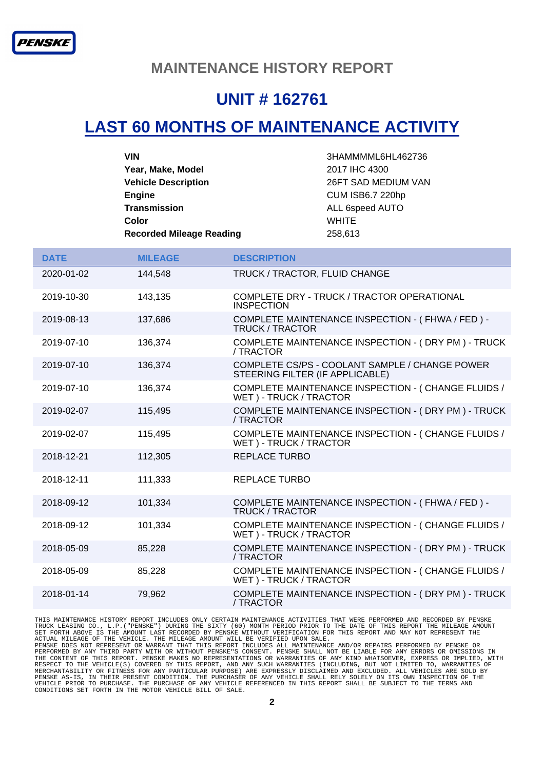#### **MAINTENANCE HISTORY REPORT**

## **UNIT # 162761**

## **LAST 60 MONTHS OF MAINTENANCE ACTIVITY**

| <b>VIN</b>                      | 3HAMMMML6HL462736       |
|---------------------------------|-------------------------|
| Year, Make, Model               | 2017 IHC 4300           |
| <b>Vehicle Description</b>      | 26FT SAD MEDIUM VAN     |
| <b>Engine</b>                   | <b>CUM ISB6.7 220hp</b> |
| <b>Transmission</b>             | ALL 6speed AUTO         |
| Color                           | <b>WHITE</b>            |
| <b>Recorded Mileage Reading</b> | 258.613                 |

| <b>DATE</b> | <b>MILEAGE</b> | <b>DESCRIPTION</b>                                                                |
|-------------|----------------|-----------------------------------------------------------------------------------|
| 2020-01-02  | 144,548        | TRUCK / TRACTOR, FLUID CHANGE                                                     |
| 2019-10-30  | 143,135        | COMPLETE DRY - TRUCK / TRACTOR OPERATIONAL<br><b>INSPECTION</b>                   |
| 2019-08-13  | 137,686        | COMPLETE MAINTENANCE INSPECTION - (FHWA / FED) -<br><b>TRUCK / TRACTOR</b>        |
| 2019-07-10  | 136,374        | COMPLETE MAINTENANCE INSPECTION - (DRY PM) - TRUCK<br>/ TRACTOR                   |
| 2019-07-10  | 136,374        | COMPLETE CS/PS - COOLANT SAMPLE / CHANGE POWER<br>STEERING FILTER (IF APPLICABLE) |
| 2019-07-10  | 136,374        | COMPLETE MAINTENANCE INSPECTION - (CHANGE FLUIDS /<br>WET) - TRUCK / TRACTOR      |
| 2019-02-07  | 115,495        | COMPLETE MAINTENANCE INSPECTION - (DRY PM) - TRUCK<br>/TRACTOR                    |
| 2019-02-07  | 115,495        | COMPLETE MAINTENANCE INSPECTION - (CHANGE FLUIDS /<br>WET) - TRUCK / TRACTOR      |
| 2018-12-21  | 112,305        | <b>REPLACE TURBO</b>                                                              |
| 2018-12-11  | 111,333        | REPLACE TURBO                                                                     |
| 2018-09-12  | 101,334        | COMPLETE MAINTENANCE INSPECTION - (FHWA / FED) -<br><b>TRUCK / TRACTOR</b>        |
| 2018-09-12  | 101,334        | COMPLETE MAINTENANCE INSPECTION - (CHANGE FLUIDS /<br>WET) - TRUCK / TRACTOR      |
| 2018-05-09  | 85,228         | COMPLETE MAINTENANCE INSPECTION - (DRY PM) - TRUCK<br>/ TRACTOR                   |
| 2018-05-09  | 85,228         | COMPLETE MAINTENANCE INSPECTION - (CHANGE FLUIDS /<br>WET) - TRUCK / TRACTOR      |
| 2018-01-14  | 79,962         | COMPLETE MAINTENANCE INSPECTION - (DRY PM) - TRUCK<br>/ TRACTOR                   |

THIS MAINTENANCE HISTORY REPORT INCLUDES ONLY CERTAIN MAINTENANCE ACTIVITIES THAT WERE PERFORMED AND RECORDED BY PENSKE<br>TRUCK LEASING CO., L.P. ("PENSKE") DURING THE SIXTY (60) MONTH PERIOD PRIOR TO THE DATE OF THIS REPORT MERCHANTABILITY OR FITNESS FOR ANY PARTICULAR PURPOSE) ARE EXPRESSLY DISCLAIMED AND EXCLUDED. ALL VEHICLES ARE SOLD BY<br>PENSKE AS-IS, IN THEIR PRESENT CONDITION. THE PURCHASER OF ANY VEHICLE SHALL RELY SOLELY ON ITS OWN INS